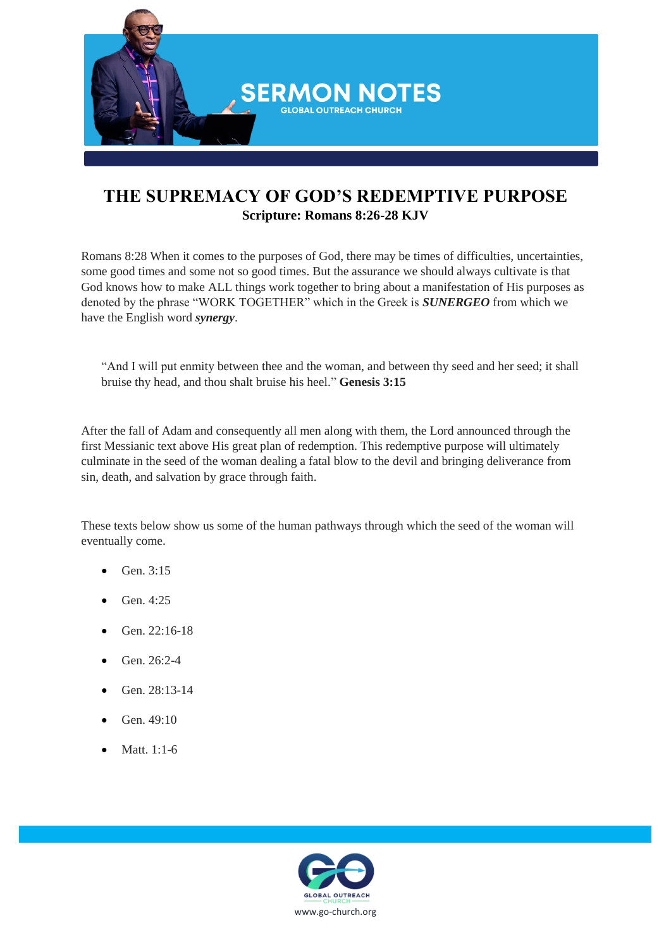

## **THE SUPREMACY OF GOD'S REDEMPTIVE PURPOSE Scripture: Romans 8:26-28 KJV**

Romans 8:28 When it comes to the purposes of God, there may be times of difficulties, uncertainties, some good times and some not so good times. But the assurance we should always cultivate is that God knows how to make ALL things work together to bring about a manifestation of His purposes as denoted by the phrase "WORK TOGETHER" which in the Greek is *SUNERGEO* from which we have the English word *synergy*.

"And I will put enmity between thee and the woman, and between thy seed and her seed; it shall bruise thy head, and thou shalt bruise his heel." **Genesis 3:15**

After the fall of Adam and consequently all men along with them, the Lord announced through the first Messianic text above His great plan of redemption. This redemptive purpose will ultimately culminate in the seed of the woman dealing a fatal blow to the devil and bringing deliverance from sin, death, and salvation by grace through faith.

These texts below show us some of the human pathways through which the seed of the woman will eventually come.

- Gen. 3:15
- Gen. 4:25
- Gen. 22:16-18
- Gen. 26:2-4
- Gen. 28:13-14
- Gen. 49:10
- Matt. 1:1-6